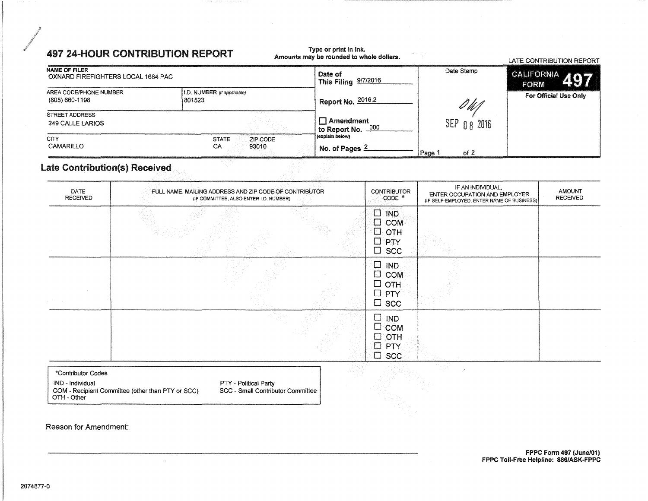## **497 24-HOUR CONTRIBUTION REPORT**

## Type or print in ink.<br>Amounts may be rounded to whole dollars.

|                                                            |                                         |                                                    |                | LATE CONTRIBUTION REPORT      |
|------------------------------------------------------------|-----------------------------------------|----------------------------------------------------|----------------|-------------------------------|
| <b>NAME OF FILER</b><br>OXNARD FIREFIGHTERS LOCAL 1684 PAC |                                         | Date of<br><sup>1</sup> This Filing 9/7/2016       | Date Stamp     | CALIFORNIA 497<br><b>FORM</b> |
| AREA CODE/PHONE NUMBER<br>(805) 660-1198                   | I.D. NUMBER (if applicable)<br>801523   | <sup>1</sup> Report No. 2016.2                     | DUT            | For Official Use Only         |
| STREET ADDRESS<br>249 CALLE LARIOS                         |                                         | $\Box$ Amendment<br><sup>1</sup> to Report No. 000 | SEP 0 8 2016   |                               |
| <b>CITY</b><br>CAMARILLO                                   | <b>STATE</b><br>ZIP CODE<br>CA<br>93010 | (explain below)<br>No. of Pages $2$                | of $2$<br>Page |                               |

### **Late Contribution(s) Received**

| DATE<br>RECEIVED | FULL NAME, MAILING ADDRESS AND ZIP CODE OF CONTRIBUTOR<br>(IF COMMITTEE, ALSO ENTER I.D. NUMBER) | <b>CONTRIBUTOR</b><br>CODE *                                                          | IF AN INDIVIDUAL,<br>ENTER OCCUPATION AND EMPLOYER<br>(IF SELF-EMPLOYED, ENTER NAME OF BUSINESS) | AMOUNT<br><b>RECEIVED</b> |
|------------------|--------------------------------------------------------------------------------------------------|---------------------------------------------------------------------------------------|--------------------------------------------------------------------------------------------------|---------------------------|
|                  |                                                                                                  | $\Box$<br><b>IND</b><br>$\Box$<br><b>COM</b><br>⊡<br>OTH<br>□<br>PTY<br>$\square$ scc |                                                                                                  |                           |
|                  |                                                                                                  | $\Box$<br><b>IND</b><br>$\square$ COM<br>$\Box$ OTH:<br>$\Box$<br>PTY<br>$\Box$ scc   |                                                                                                  |                           |
|                  |                                                                                                  | $\Box$<br><b>IND</b><br>$\Box$ COM<br>$\Box$ OTH<br>$\square$ PTY<br>$\square$ scc    |                                                                                                  |                           |

#### \*Contributor Codes IND - Individual COM - Recipient Committee (other than PTY or SCC)<br>OTH - Other

 $\bar{\epsilon}$ 

PTY - Political Party

SCC - Small Contributor Committee

Reason for Amendment: